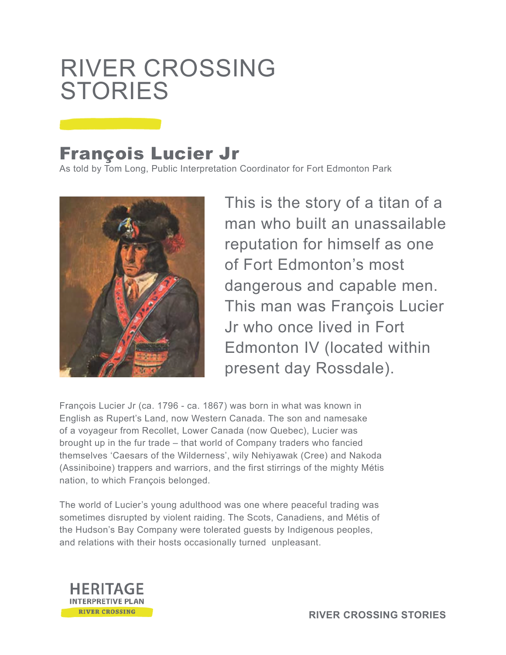## RIVER CROSSING **STORIES**

## François Lucier Jr

As told by Tom Long, Public Interpretation Coordinator for Fort Edmonton Park



This is the story of a titan of a man who built an unassailable reputation for himself as one of Fort Edmonton's most dangerous and capable men. This man was François Lucier Jr who once lived in Fort Edmonton IV (located within present day Rossdale).

François Lucier Jr (ca. 1796 - ca. 1867) was born in what was known in English as Rupert's Land, now Western Canada. The son and namesake of a voyageur from Recollet, Lower Canada (now Quebec), Lucier was brought up in the fur trade – that world of Company traders who fancied themselves 'Caesars of the Wilderness', wily Nehiyawak (Cree) and Nakoda (Assiniboine) trappers and warriors, and the first stirrings of the mighty Métis nation, to which François belonged.

The world of Lucier's young adulthood was one where peaceful trading was sometimes disrupted by violent raiding. The Scots, Canadiens, and Métis of the Hudson's Bay Company were tolerated guests by Indigenous peoples, and relations with their hosts occasionally turned unpleasant.

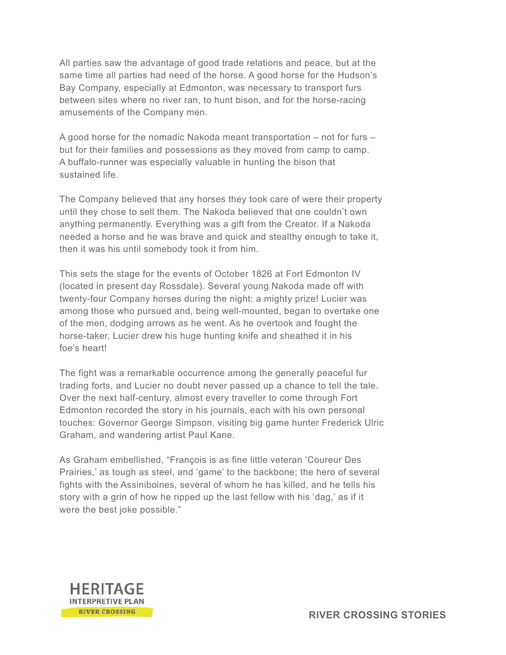All parties saw the advantage of good trade relations and peace, but at the same time all parties had need of the horse. A good horse for the Hudson's Bay Company, especially at Edmonton, was necessary to transport furs between sites where no river ran, to hunt bison, and for the horse-racing amusements of the Company men.

A good horse for the nomadic Nakoda meant transportation – not for furs – but for their families and possessions as they moved from camp to camp. A buffalo-runner was especially valuable in hunting the bison that sustained life.

The Company believed that any horses they took care of were their property until they chose to sell them. The Nakoda believed that one couldn't own anything permanently. Everything was a gift from the Creator. If a Nakoda needed a horse and he was brave and quick and stealthy enough to take it, then it was his until somebody took it from him.

This sets the stage for the events of October 1826 at Fort Edmonton IV (located in present day Rossdale). Several young Nakoda made off with twenty-four Company horses during the night: a mighty prize! Lucier was among those who pursued and, being well-mounted, began to overtake one of the men, dodging arrows as he went. As he overtook and fought the horse-taker, Lucier drew his huge hunting knife and sheathed it in his foe's heart!

The fight was a remarkable occurrence among the generally peaceful fur trading forts, and Lucier no doubt never passed up a chance to tell the tale. Over the next half-century, almost every traveller to come through Fort Edmonton recorded the story in his journals, each with his own personal touches: Governor George Simpson, visiting big game hunter Frederick Ulric Graham, and wandering artist Paul Kane.

As Graham embellished, "François is as fine little veteran 'Coureur Des Prairies,' as tough as steel, and 'game' to the backbone; the hero of several fights with the Assiniboines, several of whom he has killed, and he tells his story with a grin of how he ripped up the last fellow with his 'dag,' as if it were the best joke possible."